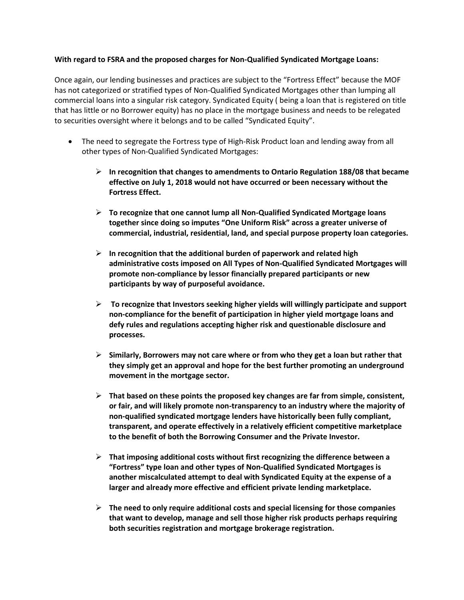## **With regard to FSRA and the proposed charges for Non-Qualified Syndicated Mortgage Loans:**

Once again, our lending businesses and practices are subject to the "Fortress Effect" because the MOF has not categorized or stratified types of Non-Qualified Syndicated Mortgages other than lumping all commercial loans into a singular risk category. Syndicated Equity ( being a loan that is registered on title that has little or no Borrower equity) has no place in the mortgage business and needs to be relegated to securities oversight where it belongs and to be called "Syndicated Equity".

- The need to segregate the Fortress type of High-Risk Product loan and lending away from all other types of Non-Qualified Syndicated Mortgages:
	- **In recognition that changes to amendments to Ontario Regulation 188/08 that became effective on July 1, 2018 would not have occurred or been necessary without the Fortress Effect.**
	- **To recognize that one cannot lump all Non-Qualified Syndicated Mortgage loans together since doing so imputes "One Uniform Risk" across a greater universe of commercial, industrial, residential, land, and special purpose property loan categories.**
	- **In recognition that the additional burden of paperwork and related high administrative costs imposed on All Types of Non-Qualified Syndicated Mortgages will promote non-compliance by lessor financially prepared participants or new participants by way of purposeful avoidance.**
	- **To recognize that Investors seeking higher yields will willingly participate and support non-compliance for the benefit of participation in higher yield mortgage loans and defy rules and regulations accepting higher risk and questionable disclosure and processes.**
	- **Similarly, Borrowers may not care where or from who they get a loan but rather that they simply get an approval and hope for the best further promoting an underground movement in the mortgage sector.**
	- **That based on these points the proposed key changes are far from simple, consistent, or fair, and will likely promote non-transparency to an industry where the majority of non-qualified syndicated mortgage lenders have historically been fully compliant, transparent, and operate effectively in a relatively efficient competitive marketplace to the benefit of both the Borrowing Consumer and the Private Investor.**
	- **That imposing additional costs without first recognizing the difference between a "Fortress" type loan and other types of Non-Qualified Syndicated Mortgages is another miscalculated attempt to deal with Syndicated Equity at the expense of a larger and already more effective and efficient private lending marketplace.**
	- **The need to only require additional costs and special licensing for those companies that want to develop, manage and sell those higher risk products perhaps requiring both securities registration and mortgage brokerage registration.**